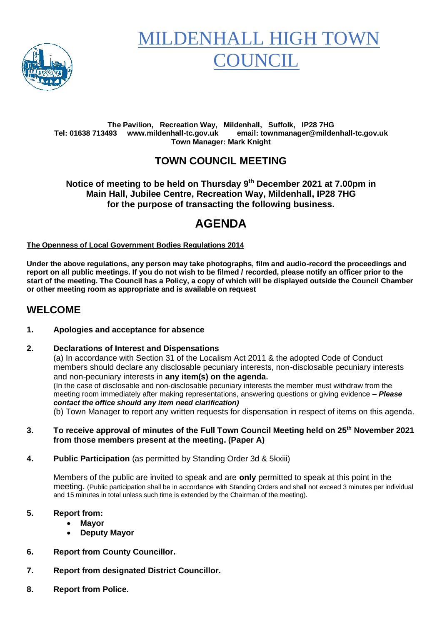

# MILDENHALL HIGH TOV COUNCIL

#### **The Pavilion, Recreation Way, Mildenhall, Suffolk, IP28 7HG Tel: 01638 713493 www.mildenhall-tc.gov.uk email: townmanager@mildenhall-tc.gov.uk Town Manager: Mark Knight**

## **TOWN COUNCIL MEETING**

**Notice of meeting to be held on Thursday 9 th December 2021 at 7.00pm in Main Hall, Jubilee Centre, Recreation Way, Mildenhall, IP28 7HG for the purpose of transacting the following business.**

# **AGENDA**

#### **The Openness of Local Government Bodies Regulations 2014**

**Under the above regulations, any person may take photographs, film and audio-record the proceedings and report on all public meetings. If you do not wish to be filmed / recorded, please notify an officer prior to the start of the meeting. The Council has a Policy, a copy of which will be displayed outside the Council Chamber or other meeting room as appropriate and is available on request**

#### **WELCOME**

#### **1. Apologies and acceptance for absence**

#### **2. Declarations of Interest and Dispensations**

(a) In accordance with Section 31 of the Localism Act 2011 & the adopted Code of Conduct members should declare any disclosable pecuniary interests, non-disclosable pecuniary interests and non-pecuniary interests in **any item(s) on the agenda.** (In the case of disclosable and non-disclosable pecuniary interests the member must withdraw from the meeting room immediately after making representations, answering questions or giving evidence **–** *Please contact the office should any item need clarification)*

(b) Town Manager to report any written requests for dispensation in respect of items on this agenda.

- **3. To receive approval of minutes of the Full Town Council Meeting held on 25th November 2021 from those members present at the meeting. (Paper A)**
- **4. Public Participation** (as permitted by Standing Order 3d & 5kxiii)

Members of the public are invited to speak and are **only** permitted to speak at this point in the meeting. (Public participation shall be in accordance with Standing Orders and shall not exceed 3 minutes per individual and 15 minutes in total unless such time is extended by the Chairman of the meeting).

#### **5. Report from:**

- **Mayor**
- **Deputy Mayor**
- **6. Report from County Councillor.**
- **7. Report from designated District Councillor.**
- **8. Report from Police.**